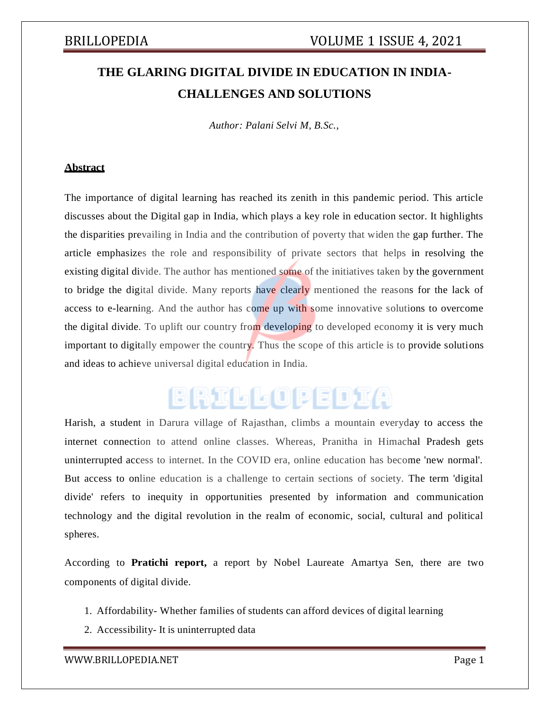# **THE GLARING DIGITAL DIVIDE IN EDUCATION IN INDIA-CHALLENGES AND SOLUTIONS**

*Author: Palani Selvi M, B.Sc.,*

## **Abstract**

The importance of digital learning has reached its zenith in this pandemic period. This article discusses about the Digital gap in India, which plays a key role in education sector. It highlights the disparities prevailing in India and the contribution of poverty that widen the gap further. The article emphasizes the role and responsibility of private sectors that helps in resolving the existing digital divide. The author has mentioned some of the initiatives taken by the government to bridge the digital divide. Many reports have clearly mentioned the reasons for the lack of access to e-learning. And the author has come up with some innovative solutions to overcome the digital divide. To uplift our country from developing to developed economy it is very much important to digitally empower the country. Thus the scope of this article is to provide solutions and ideas to achieve universal digital education in India.

# BRILLOPEDIA

Harish, a student in Darura village of Rajasthan, climbs a mountain everyday to access the internet connection to attend online classes. Whereas, Pranitha in Himachal Pradesh gets uninterrupted access to internet. In the COVID era, online education has become 'new normal'. But access to online education is a challenge to certain sections of society. The term 'digital divide' refers to inequity in opportunities presented by information and communication technology and the digital revolution in the realm of economic, social, cultural and political spheres.

According to **Pratichi report,** a report by Nobel Laureate Amartya Sen, there are two components of digital divide.

- 1. Affordability- Whether families of students can afford devices of digital learning
- 2. Accessibility- It is uninterrupted data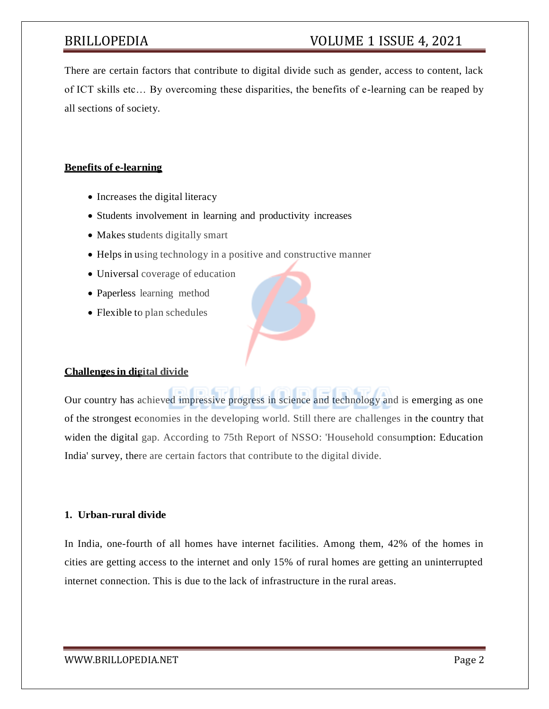## BRILLOPEDIA VOLUME 1 ISSUE 4, 2021

There are certain factors that contribute to digital divide such as gender, access to content, lack of ICT skills etc… By overcoming these disparities, the benefits of e-learning can be reaped by all sections of society.

### **Benefits of e-learning**

- Increases the digital literacy
- Students involvement in learning and productivity increases
- Makes students digitally smart
- Helps in using technology in a positive and constructive manner
- Universal coverage of education
- Paperless learning method
- Flexible to plan schedules

### **Challengesin digital divide**

Our country has achieved impressive progress in science and technology and is emerging as one of the strongest economies in the developing world. Still there are challenges in the country that widen the digital gap. According to 75th Report of NSSO: 'Household consumption: Education India' survey, there are certain factors that contribute to the digital divide.

## **1. Urban-rural divide**

In India, one-fourth of all homes have internet facilities. Among them, 42% of the homes in cities are getting access to the internet and only 15% of rural homes are getting an uninterrupted internet connection. This is due to the lack of infrastructure in the rural areas.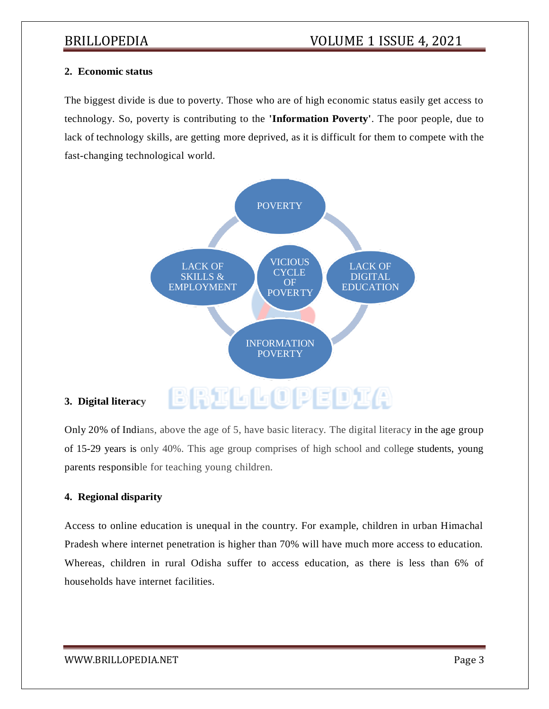#### **2. Economic status**

The biggest divide is due to poverty. Those who are of high economic status easily get access to technology. So, poverty is contributing to the **'Information Poverty'**. The poor people, due to lack of technology skills, are getting more deprived, as it is difficult for them to compete with the fast-changing technological world.



## **3. Digital literacy**

Only 20% of Indians, above the age of 5, have basic literacy. The digital literacy in the age group of 15-29 years is only 40%. This age group comprises of high school and college students, young parents responsible for teaching young children.

### **4. Regional disparity**

Access to online education is unequal in the country. For example, children in urban Himachal Pradesh where internet penetration is higher than 70% will have much more access to education. Whereas, children in rural Odisha suffer to access education, as there is less than 6% of households have internet facilities.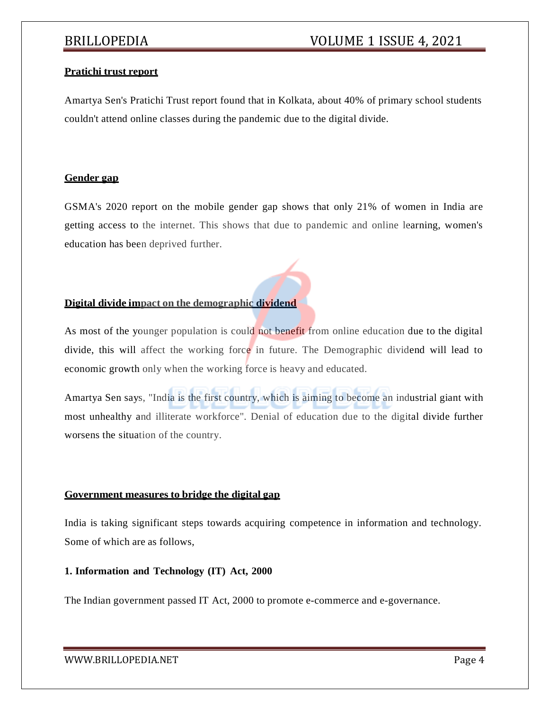#### **Pratichi trust report**

Amartya Sen's Pratichi Trust report found that in Kolkata, about 40% of primary school students couldn't attend online classes during the pandemic due to the digital divide.

#### **Gender gap**

GSMA's 2020 report on the mobile gender gap shows that only 21% of women in India are getting access to the internet. This shows that due to pandemic and online learning, women's education has been deprived further.

#### **Digital divide impact on the demographic dividend**

As most of the younger population is could not benefit from online education due to the digital divide, this will affect the working force in future. The Demographic dividend will lead to economic growth only when the working force is heavy and educated.

Amartya Sen says, "India is the first country, which is aiming to become an industrial giant with most unhealthy and illiterate workforce". Denial of education due to the digital divide further worsens the situation of the country.

#### **Government measures to bridge the digital gap**

India is taking significant steps towards acquiring competence in information and technology. Some of which are as follows,

### **1. Information and Technology (IT) Act, 2000**

The Indian government passed IT Act, 2000 to promote e-commerce and e-governance.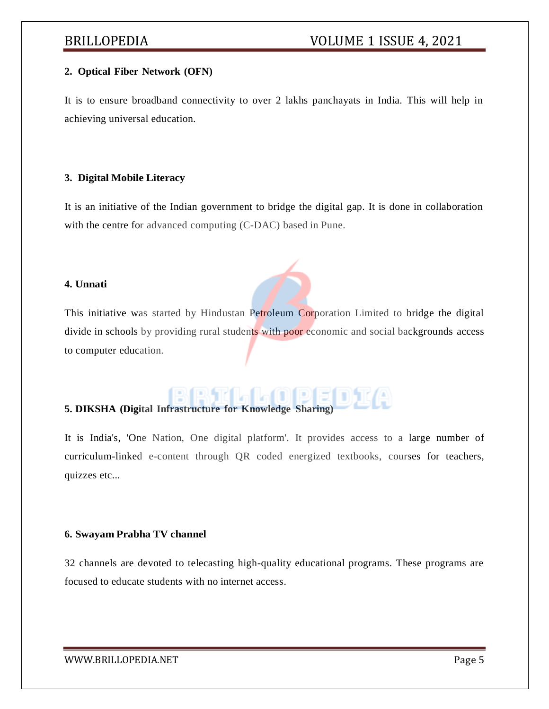#### **2. Optical Fiber Network (OFN)**

It is to ensure broadband connectivity to over 2 lakhs panchayats in India. This will help in achieving universal education.

#### **3. Digital Mobile Literacy**

It is an initiative of the Indian government to bridge the digital gap. It is done in collaboration with the centre for advanced computing (C-DAC) based in Pune.

#### **4. Unnati**

This initiative was started by Hindustan Petroleum Corporation Limited to bridge the digital divide in schools by providing rural students with poor economic and social backgrounds access to computer education.

# **5. DIKSHA (Digital Infrastructure for Knowledge Sharing)**

It is India's, 'One Nation, One digital platform'. It provides access to a large number of curriculum-linked e-content through QR coded energized textbooks, courses for teachers, quizzes etc...

#### **6. Swayam Prabha TV channel**

32 channels are devoted to telecasting high-quality educational programs. These programs are focused to educate students with no internet access.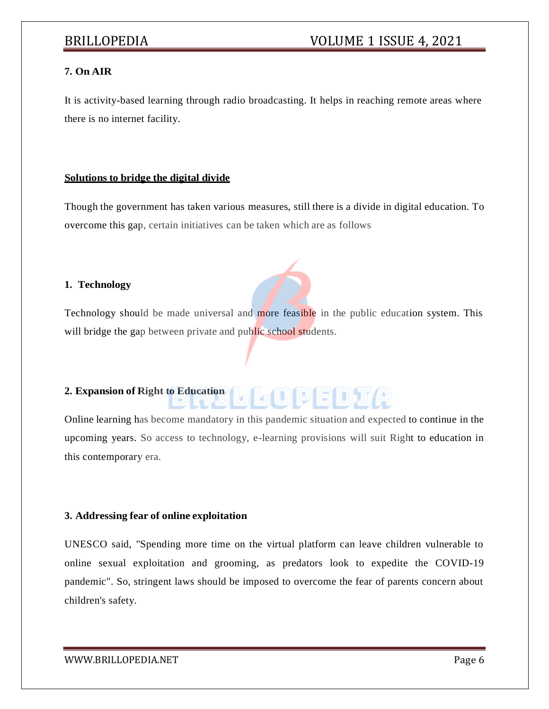## **7. On AIR**

It is activity-based learning through radio broadcasting. It helps in reaching remote areas where there is no internet facility.

#### **Solutions to bridge the digital divide**

Though the government has taken various measures, still there is a divide in digital education. To overcome this gap, certain initiatives can be taken which are as follows

#### **1. Technology**

Technology should be made universal and more feasible in the public education system. This will bridge the gap between private and public school students.

## **2. Expansion of Right to Education**

Online learning has become mandatory in this pandemic situation and expected to continue in the upcoming years. So access to technology, e-learning provisions will suit Right to education in this contemporary era.

L (OIPE D) KA

#### **3. Addressing fear of online exploitation**

UNESCO said, "Spending more time on the virtual platform can leave children vulnerable to online sexual exploitation and grooming, as predators look to expedite the COVID-19 pandemic". So, stringent laws should be imposed to overcome the fear of parents concern about children's safety.

[WWW.BRILLOPEDIA.NET](http://www.brillopedia.net/) Page 6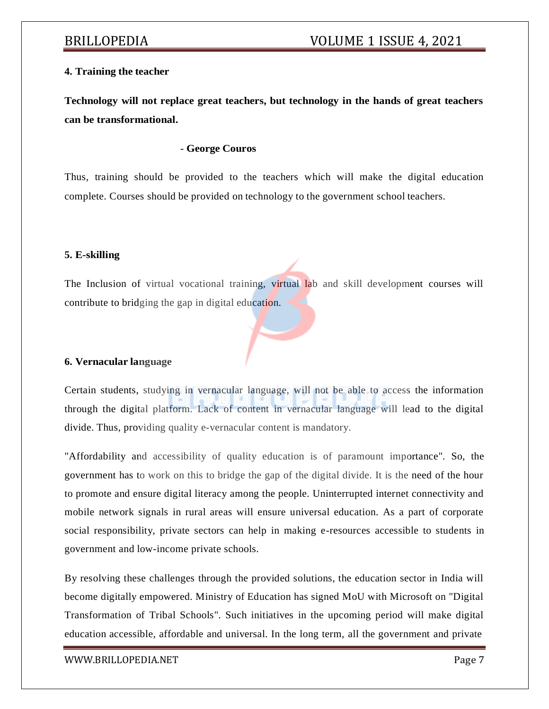### **4. Training the teacher**

**Technology will not replace great teachers, but technology in the hands of great teachers can be transformational.**

#### - **George Couros**

Thus, training should be provided to the teachers which will make the digital education complete. Courses should be provided on technology to the government school teachers.

#### **5. E-skilling**

The Inclusion of virtual vocational training, virtual lab and skill development courses will contribute to bridging the gap in digital education.

#### **6. Vernacular language**

Certain students, studying in vernacular language, will not be able to access the information through the digital platform. Lack of content in vernacular language will lead to the digital divide. Thus, providing quality e-vernacular content is mandatory.

"Affordability and accessibility of quality education is of paramount importance". So, the government has to work on this to bridge the gap of the digital divide. It is the need of the hour to promote and ensure digital literacy among the people. Uninterrupted internet connectivity and mobile network signals in rural areas will ensure universal education. As a part of corporate social responsibility, private sectors can help in making e-resources accessible to students in government and low-income private schools.

By resolving these challenges through the provided solutions, the education sector in India will become digitally empowered. Ministry of Education has signed MoU with Microsoft on "Digital Transformation of Tribal Schools". Such initiatives in the upcoming period will make digital education accessible, affordable and universal. In the long term, all the government and private

[WWW.BRILLOPEDIA.NET](http://www.brillopedia.net/) Page 7